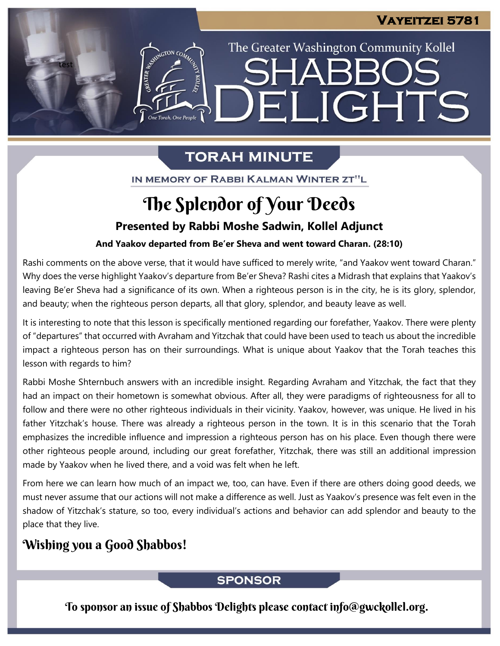The Greater Washington Community Kollel

ELIGHTS

# **TORAH MINUTE**

IN MEMORY OF RABBI KALMAN WINTER ZT"L

# The Splendor of Your Deeds

## **Presented by Rabbi Moshe Sadwin, Kollel Adjunct**

## **And Yaakov departed from Be'er Sheva and went toward Charan. (28:10)**

Rashi comments on the above verse, that it would have sufficed to merely write, "and Yaakov went toward Charan." Why does the verse highlight Yaakov's departure from Be'er Sheva? Rashi cites a Midrash that explains that Yaakov's leaving Be'er Sheva had a significance of its own. When a righteous person is in the city, he is its glory, splendor, and beauty; when the righteous person departs, all that glory, splendor, and beauty leave as well.

It is interesting to note that this lesson is specifically mentioned regarding our forefather, Yaakov. There were plenty of "departures" that occurred with Avraham and Yitzchak that could have been used to teach us about the incredible impact a righteous person has on their surroundings. What is unique about Yaakov that the Torah teaches this lesson with regards to him?

Rabbi Moshe Shternbuch answers with an incredible insight. Regarding Avraham and Yitzchak, the fact that they had an impact on their hometown is somewhat obvious. After all, they were paradigms of righteousness for all to follow and there were no other righteous individuals in their vicinity. Yaakov, however, was unique. He lived in his father Yitzchak's house. There was already a righteous person in the town. It is in this scenario that the Torah emphasizes the incredible influence and impression a righteous person has on his place. Even though there were other righteous people around, including our great forefather, Yitzchak, there was still an additional impression made by Yaakov when he lived there, and a void was felt when he left.

From here we can learn how much of an impact we, too, can have. Even if there are others doing good deeds, we must never assume that our actions will not make a difference as well. Just as Yaakov's presence was felt even in the shadow of Yitzchak's stature, so too, every individual's actions and behavior can add splendor and beauty to the place that they live.

# Wishing you a Good Shabbos!

test

ASSEMBATON CO

### **SPONSOR**

To sponsor an issue of Shabbos Delights please contact info@gwckollel.org.